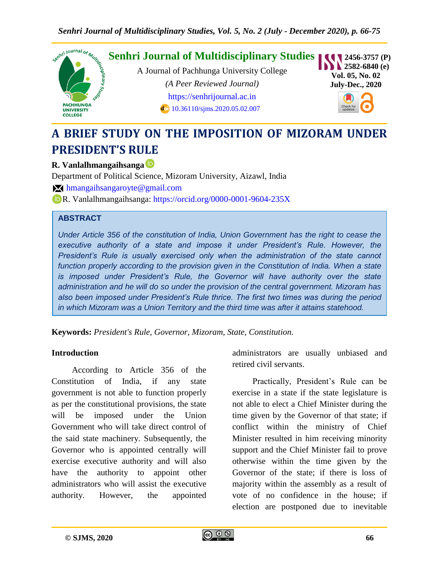

# **A BRIEF STUDY ON THE IMPOSITION OF MIZORAM UNDER PRESIDENT'S RULE**

#### **R. Vanlalhmangaihsanga**

Department of Political Science, Mizoram University, Aizawl, India

**M** [hmangaihsangaroyte@gmail.com](mailto:%20hmangaihsangaroyte@gmail.com)

R. Vanlalhmangaihsanga:<https://orcid.org/0000-0001-9604-235X>

#### **ABSTRACT**

*Under Article 356 of the constitution of India, Union Government has the right to cease the executive authority of a state and impose it under President's Rule. However, the President's Rule is usually exercised only when the administration of the state cannot function properly according to the provision given in the Constitution of India. When a state is imposed under President's Rule, the Governor will have authority over the state administration and he will do so under the provision of the central government. Mizoram has also been imposed under President's Rule thrice. The first two times was during the period in which Mizoram was a Union Territory and the third time was after it attains statehood.*

**Keywords:** *President's Rule, Governor, Mizoram, State, Constitution.*

#### **Introduction**

According to Article 356 of the Constitution of India, if any state government is not able to function properly as per the constitutional provisions, the state will be imposed under the Union Government who will take direct control of the said state machinery. Subsequently, the Governor who is appointed centrally will exercise executive authority and will also have the authority to appoint other administrators who will assist the executive authority. However, the appointed

administrators are usually unbiased and retired civil servants.

Practically, President's Rule can be exercise in a state if the state legislature is not able to elect a Chief Minister during the time given by the Governor of that state; if conflict within the ministry of Chief Minister resulted in him receiving minority support and the Chief Minister fail to prove otherwise within the time given by the Governor of the state; if there is loss of majority within the assembly as a result of vote of no confidence in the house; if election are postponed due to inevitable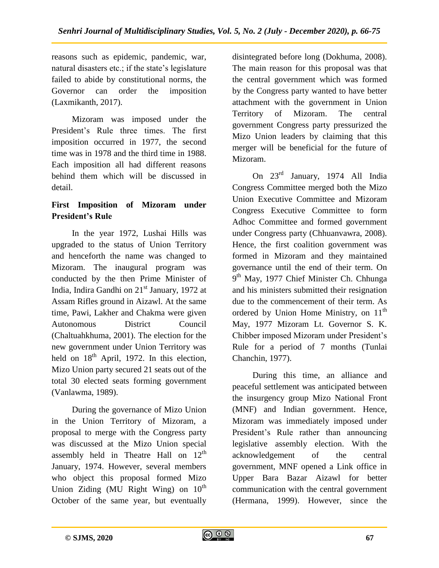reasons such as epidemic, pandemic, war, natural disasters etc.; if the state's legislature failed to abide by constitutional norms, the Governor can order the imposition (Laxmikanth, 2017).

Mizoram was imposed under the President's Rule three times. The first imposition occurred in 1977, the second time was in 1978 and the third time in 1988. Each imposition all had different reasons behind them which will be discussed in detail.

### **First Imposition of Mizoram under President's Rule**

In the year 1972, Lushai Hills was upgraded to the status of Union Territory and henceforth the name was changed to Mizoram. The inaugural program was conducted by the then Prime Minister of India, Indira Gandhi on 21<sup>st</sup> January, 1972 at Assam Rifles ground in Aizawl. At the same time, Pawi, Lakher and Chakma were given Autonomous District Council (Chaltuahkhuma, 2001). The election for the new government under Union Territory was held on  $18<sup>th</sup>$  April, 1972. In this election, Mizo Union party secured 21 seats out of the total 30 elected seats forming government (Vanlawma, 1989).

During the governance of Mizo Union in the Union Territory of Mizoram, a proposal to merge with the Congress party was discussed at the Mizo Union special assembly held in Theatre Hall on  $12<sup>th</sup>$ January, 1974. However, several members who object this proposal formed Mizo Union Ziding (MU Right Wing) on  $10^{th}$ October of the same year, but eventually disintegrated before long (Dokhuma, 2008). The main reason for this proposal was that the central government which was formed by the Congress party wanted to have better attachment with the government in Union Territory of Mizoram. The central government Congress party pressurized the Mizo Union leaders by claiming that this merger will be beneficial for the future of Mizoram.

On 23rd January, 1974 All India Congress Committee merged both the Mizo Union Executive Committee and Mizoram Congress Executive Committee to form Adhoc Committee and formed government under Congress party (Chhuanvawra, 2008). Hence, the first coalition government was formed in Mizoram and they maintained governance until the end of their term. On 9<sup>th</sup> May, 1977 Chief Minister Ch. Chhunga and his ministers submitted their resignation due to the commencement of their term. As ordered by Union Home Ministry, on  $11<sup>th</sup>$ May, 1977 Mizoram Lt. Governor S. K. Chibber imposed Mizoram under President's Rule for a period of 7 months (Tunlai Chanchin, 1977).

During this time, an alliance and peaceful settlement was anticipated between the insurgency group Mizo National Front (MNF) and Indian government. Hence, Mizoram was immediately imposed under President's Rule rather than announcing legislative assembly election. With the acknowledgement of the central government, MNF opened a Link office in Upper Bara Bazar Aizawl for better communication with the central government (Hermana, 1999). However, since the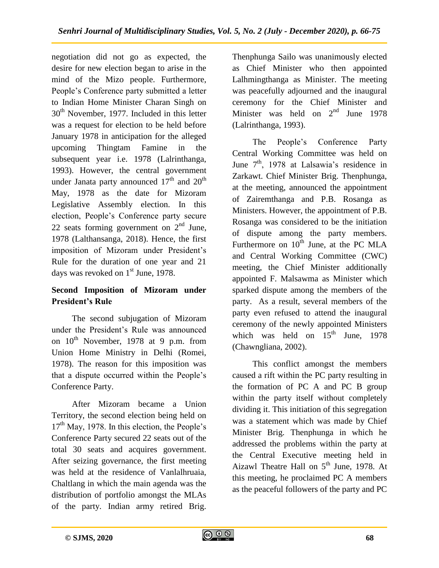negotiation did not go as expected, the desire for new election began to arise in the mind of the Mizo people. Furthermore, People's Conference party submitted a letter to Indian Home Minister Charan Singh on  $30<sup>th</sup>$  November, 1977. Included in this letter was a request for election to be held before January 1978 in anticipation for the alleged upcoming Thingtam Famine in the subsequent year i.e. 1978 (Lalrinthanga, 1993). However, the central government under Janata party announced  $17<sup>th</sup>$  and  $20<sup>th</sup>$ May, 1978 as the date for Mizoram Legislative Assembly election. In this election, People's Conference party secure 22 seats forming government on  $2<sup>nd</sup>$  June, 1978 (Lalthansanga, 2018). Hence, the first imposition of Mizoram under President's Rule for the duration of one year and 21 days was revoked on  $1<sup>st</sup>$  June, 1978.

### **Second Imposition of Mizoram under President's Rule**

The second subjugation of Mizoram under the President's Rule was announced on  $10^{th}$  November, 1978 at 9 p.m. from Union Home Ministry in Delhi (Romei, 1978). The reason for this imposition was that a dispute occurred within the People's Conference Party.

After Mizoram became a Union Territory, the second election being held on  $17<sup>th</sup>$  May, 1978. In this election, the People's Conference Party secured 22 seats out of the total 30 seats and acquires government. After seizing governance, the first meeting was held at the residence of Vanlalhruaia, Chaltlang in which the main agenda was the distribution of portfolio amongst the MLAs of the party. Indian army retired Brig.

Thenphunga Sailo was unanimously elected as Chief Minister who then appointed Lalhmingthanga as Minister. The meeting was peacefully adjourned and the inaugural ceremony for the Chief Minister and Minister was held on  $2<sup>nd</sup>$  June 1978 (Lalrinthanga, 1993).

The People's Conference Party Central Working Committee was held on June  $7<sup>th</sup>$ , 1978 at Lalsawia's residence in Zarkawt. Chief Minister Brig. Thenphunga, at the meeting, announced the appointment of Zairemthanga and P.B. Rosanga as Ministers. However, the appointment of P.B. Rosanga was considered to be the initiation of dispute among the party members. Furthermore on  $10^{th}$  June, at the PC MLA and Central Working Committee (CWC) meeting, the Chief Minister additionally appointed F. Malsawma as Minister which sparked dispute among the members of the party. As a result, several members of the party even refused to attend the inaugural ceremony of the newly appointed Ministers which was held on  $15<sup>th</sup>$  June, 1978 (Chawngliana, 2002).

This conflict amongst the members caused a rift within the PC party resulting in the formation of PC A and PC B group within the party itself without completely dividing it. This initiation of this segregation was a statement which was made by Chief Minister Brig. Thenphunga in which he addressed the problems within the party at the Central Executive meeting held in Aizawl Theatre Hall on  $5<sup>th</sup>$  June, 1978. At this meeting, he proclaimed PC A members as the peaceful followers of the party and PC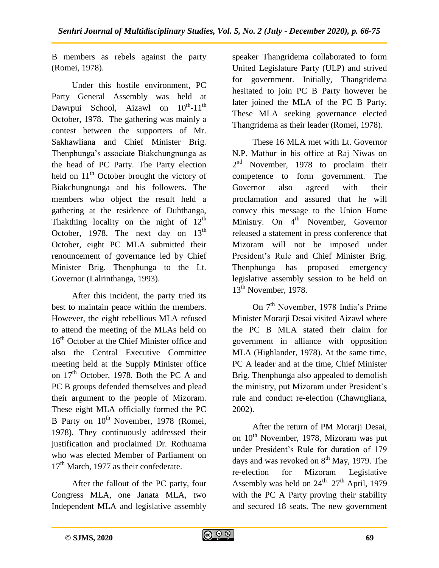B members as rebels against the party (Romei, 1978).

Under this hostile environment, PC Party General Assembly was held at Dawrpui School, Aizawl on  $10^{th}$ -11<sup>th</sup> October, 1978. The gathering was mainly a contest between the supporters of Mr. Sakhawliana and Chief Minister Brig. Thenphunga's associate Biakchungnunga as the head of PC Party. The Party election held on  $11<sup>th</sup>$  October brought the victory of Biakchungnunga and his followers. The members who object the result held a gathering at the residence of Duhthanga, Thakthing locality on the night of  $12<sup>th</sup>$ October, 1978. The next day on  $13<sup>th</sup>$ October, eight PC MLA submitted their renouncement of governance led by Chief Minister Brig. Thenphunga to the Lt. Governor (Lalrinthanga, 1993).

After this incident, the party tried its best to maintain peace within the members. However, the eight rebellious MLA refused to attend the meeting of the MLAs held on 16<sup>th</sup> October at the Chief Minister office and also the Central Executive Committee meeting held at the Supply Minister office on  $17<sup>th</sup>$  October, 1978. Both the PC A and PC B groups defended themselves and plead their argument to the people of Mizoram. These eight MLA officially formed the PC B Party on  $10^{th}$  November, 1978 (Romei, 1978). They continuously addressed their justification and proclaimed Dr. Rothuama who was elected Member of Parliament on  $17<sup>th</sup>$  March, 1977 as their confederate.

After the fallout of the PC party, four Congress MLA, one Janata MLA, two Independent MLA and legislative assembly speaker Thangridema collaborated to form United Legislature Party (ULP) and strived for government. Initially, Thangridema hesitated to join PC B Party however he later joined the MLA of the PC B Party. These MLA seeking governance elected Thangridema as their leader (Romei, 1978).

These 16 MLA met with Lt. Governor N.P. Mathur in his office at Raj Niwas on 2<sup>nd</sup> November, 1978 to proclaim their competence to form government. The Governor also agreed with their proclamation and assured that he will convey this message to the Union Home Ministry. On  $4^{th}$  November, Governor released a statement in press conference that Mizoram will not be imposed under President's Rule and Chief Minister Brig. Thenphunga has proposed emergency legislative assembly session to be held on 13<sup>th</sup> November, 1978.

On 7<sup>th</sup> November, 1978 India's Prime Minister Morarji Desai visited Aizawl where the PC B MLA stated their claim for government in alliance with opposition MLA (Highlander, 1978). At the same time, PC A leader and at the time, Chief Minister Brig. Thenphunga also appealed to demolish the ministry, put Mizoram under President's rule and conduct re-election (Chawngliana, 2002).

After the return of PM Morarji Desai, on  $10^{th}$  November, 1978, Mizoram was put under President's Rule for duration of 179 days and was revoked on  $8<sup>th</sup>$  May, 1979. The re-election for Mizoram Legislative Assembly was held on  $24^{th}$ - $27^{th}$  April, 1979 with the PC A Party proving their stability and secured 18 seats. The new government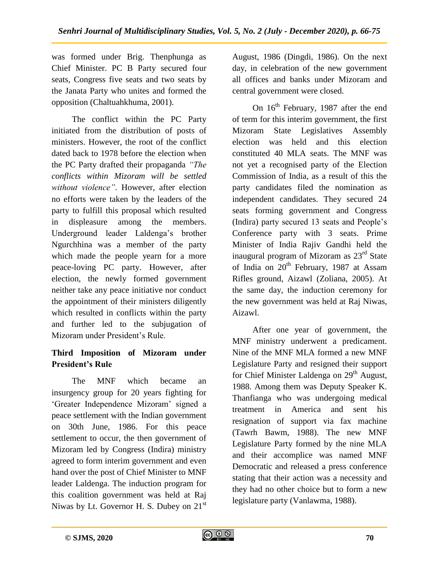was formed under Brig. Thenphunga as Chief Minister. PC B Party secured four seats, Congress five seats and two seats by the Janata Party who unites and formed the opposition (Chaltuahkhuma, 2001).

The conflict within the PC Party initiated from the distribution of posts of ministers. However, the root of the conflict dated back to 1978 before the election when the PC Party drafted their propaganda *"The conflicts within Mizoram will be settled without violence"*. However, after election no efforts were taken by the leaders of the party to fulfill this proposal which resulted in displeasure among the members. Underground leader Laldenga's brother Ngurchhina was a member of the party which made the people yearn for a more peace-loving PC party. However, after election, the newly formed government neither take any peace initiative nor conduct the appointment of their ministers diligently which resulted in conflicts within the party and further led to the subjugation of Mizoram under President's Rule.

## **Third Imposition of Mizoram under President's Rule**

The MNF which became an insurgency group for 20 years fighting for 'Greater Independence Mizoram' signed a peace settlement with the Indian government on 30th June, 1986. For this peace settlement to occur, the then government of Mizoram led by Congress (Indira) ministry agreed to form interim government and even hand over the post of Chief Minister to MNF leader Laldenga. The induction program for this coalition government was held at Raj Niwas by Lt. Governor H. S. Dubey on  $21<sup>st</sup>$ 

August, 1986 (Dingdi, 1986). On the next day, in celebration of the new government all offices and banks under Mizoram and central government were closed.

On  $16<sup>th</sup>$  February, 1987 after the end of term for this interim government, the first Mizoram State Legislatives Assembly election was held and this election constituted 40 MLA seats. The MNF was not yet a recognised party of the Election Commission of India, as a result of this the party candidates filed the nomination as independent candidates. They secured 24 seats forming government and Congress (Indira) party secured 13 seats and People's Conference party with 3 seats. Prime Minister of India Rajiv Gandhi held the inaugural program of Mizoram as  $23<sup>rd</sup>$  State of India on 20<sup>th</sup> February, 1987 at Assam Rifles ground, Aizawl (Zoliana, 2005). At the same day, the induction ceremony for the new government was held at Raj Niwas, Aizawl.

After one year of government, the MNF ministry underwent a predicament. Nine of the MNF MLA formed a new MNF Legislature Party and resigned their support for Chief Minister Laldenga on  $29<sup>th</sup>$  August, 1988. Among them was Deputy Speaker K. Thanfianga who was undergoing medical treatment in America and sent his resignation of support via fax machine (Tawrh Bawm, 1988). The new MNF Legislature Party formed by the nine MLA and their accomplice was named MNF Democratic and released a press conference stating that their action was a necessity and they had no other choice but to form a new legislature party (Vanlawma, 1988).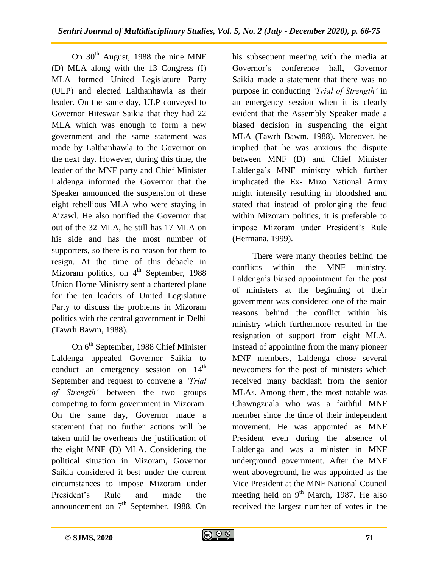On  $30<sup>th</sup>$  August, 1988 the nine MNF (D) MLA along with the 13 Congress (I) MLA formed United Legislature Party (ULP) and elected Lalthanhawla as their leader. On the same day, ULP conveyed to Governor Hiteswar Saikia that they had 22 MLA which was enough to form a new government and the same statement was made by Lalthanhawla to the Governor on the next day. However, during this time, the leader of the MNF party and Chief Minister Laldenga informed the Governor that the Speaker announced the suspension of these eight rebellious MLA who were staying in Aizawl. He also notified the Governor that out of the 32 MLA, he still has 17 MLA on his side and has the most number of supporters, so there is no reason for them to resign. At the time of this debacle in Mizoram politics, on  $4<sup>th</sup>$  September, 1988 Union Home Ministry sent a chartered plane for the ten leaders of United Legislature Party to discuss the problems in Mizoram politics with the central government in Delhi (Tawrh Bawm, 1988).

On 6<sup>th</sup> September, 1988 Chief Minister Laldenga appealed Governor Saikia to conduct an emergency session on  $14<sup>th</sup>$ September and request to convene a *"Trial of Strength"* between the two groups competing to form government in Mizoram. On the same day, Governor made a statement that no further actions will be taken until he overhears the justification of the eight MNF (D) MLA. Considering the political situation in Mizoram, Governor Saikia considered it best under the current circumstances to impose Mizoram under President's Rule and made the announcement on  $7<sup>th</sup>$  September, 1988. On

his subsequent meeting with the media at Governor's conference hall, Governor Saikia made a statement that there was no purpose in conducting *"Trial of Strength"* in an emergency session when it is clearly evident that the Assembly Speaker made a biased decision in suspending the eight MLA (Tawrh Bawm, 1988). Moreover, he implied that he was anxious the dispute between MNF (D) and Chief Minister Laldenga's MNF ministry which further implicated the Ex- Mizo National Army might intensify resulting in bloodshed and stated that instead of prolonging the feud within Mizoram politics, it is preferable to impose Mizoram under President's Rule (Hermana, 1999).

There were many theories behind the conflicts within the MNF ministry. Laldenga's biased appointment for the post of ministers at the beginning of their government was considered one of the main reasons behind the conflict within his ministry which furthermore resulted in the resignation of support from eight MLA. Instead of appointing from the many pioneer MNF members, Laldenga chose several newcomers for the post of ministers which received many backlash from the senior MLAs. Among them, the most notable was Chawngzuala who was a faithful MNF member since the time of their independent movement. He was appointed as MNF President even during the absence of Laldenga and was a minister in MNF underground government. After the MNF went aboveground, he was appointed as the Vice President at the MNF National Council meeting held on  $9<sup>th</sup>$  March, 1987. He also received the largest number of votes in the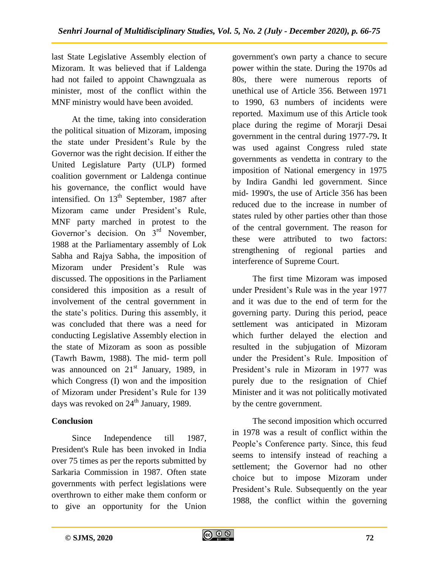last State Legislative Assembly election of Mizoram. It was believed that if Laldenga had not failed to appoint Chawngzuala as minister, most of the conflict within the MNF ministry would have been avoided.

At the time, taking into consideration the political situation of Mizoram, imposing the state under President's Rule by the Governor was the right decision. If either the United Legislature Party (ULP) formed coalition government or Laldenga continue his governance, the conflict would have intensified. On  $13<sup>th</sup>$  September, 1987 after Mizoram came under President's Rule, MNF party marched in protest to the Governor's decision. On 3<sup>rd</sup> November, 1988 at the Parliamentary assembly of Lok Sabha and Rajya Sabha, the imposition of Mizoram under President's Rule was discussed. The oppositions in the Parliament considered this imposition as a result of involvement of the central government in the state's politics. During this assembly, it was concluded that there was a need for conducting Legislative Assembly election in the state of Mizoram as soon as possible (Tawrh Bawm, 1988). The mid- term poll was announced on  $21<sup>st</sup>$  January, 1989, in which Congress (I) won and the imposition of Mizoram under President's Rule for 139 days was revoked on  $24<sup>th</sup>$  January, 1989.

## **Conclusion**

Since Independence till 1987, President's Rule has been invoked in India over 75 times as per the reports submitted by Sarkaria Commission in 1987. Often state governments with perfect legislations were overthrown to either make them conform or to give an opportunity for the Union government's own party a chance to secure power within the state. During the 1970s ad 80s, there were numerous reports of unethical use of Article 356. Between 1971 to 1990, 63 numbers of incidents were reported. Maximum use of this Article took place during the regime of Morarji Desai government in the central during 1977-79**.** It was used against Congress ruled state governments as vendetta in contrary to the imposition of National emergency in 1975 by Indira Gandhi led government. Since mid- 1990's, the use of Article 356 has been reduced due to the increase in number of states ruled by other parties other than those of the central government. The reason for these were attributed to two factors: strengthening of regional parties and interference of Supreme Court.

The first time Mizoram was imposed under President's Rule was in the year 1977 and it was due to the end of term for the governing party. During this period, peace settlement was anticipated in Mizoram which further delayed the election and resulted in the subjugation of Mizoram under the President's Rule. Imposition of President's rule in Mizoram in 1977 was purely due to the resignation of Chief Minister and it was not politically motivated by the centre government.

The second imposition which occurred in 1978 was a result of conflict within the People's Conference party. Since, this feud seems to intensify instead of reaching a settlement; the Governor had no other choice but to impose Mizoram under President's Rule. Subsequently on the year 1988, the conflict within the governing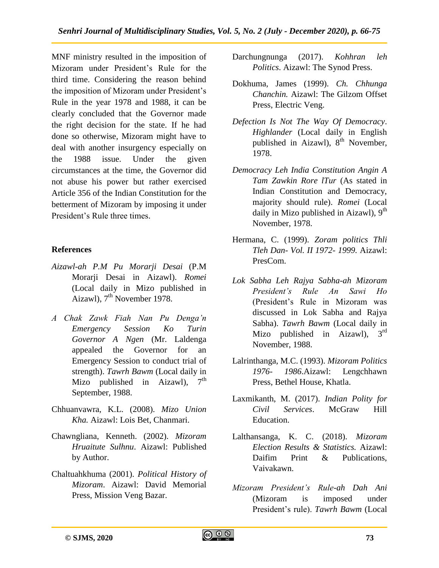MNF ministry resulted in the imposition of Mizoram under President's Rule for the third time. Considering the reason behind the imposition of Mizoram under President's Rule in the year 1978 and 1988, it can be clearly concluded that the Governor made the right decision for the state. If he had done so otherwise, Mizoram might have to deal with another insurgency especially on the 1988 issue. Under the given circumstances at the time, the Governor did not abuse his power but rather exercised Article 356 of the Indian Constitution for the betterment of Mizoram by imposing it under President's Rule three times.

#### **References**

- *Aizawl-ah P.M Pu Morarji Desai* (P.M Morarji Desai in Aizawl). *Romei* (Local daily in Mizo published in Aizawl),  $7<sup>th</sup>$  November 1978.
- *A Chak Zawk Fiah Nan Pu Denga"n Emergency Session Ko Turin Governor A Ngen* (Mr. Laldenga appealed the Governor for an Emergency Session to conduct trial of strength). *Tawrh Bawm* (Local daily in Mizo published in Aizawl),  $7<sup>th</sup>$ September, 1988.
- Chhuanvawra, K.L. (2008). *Mizo Union Kha.* Aizawl: Lois Bet, Chanmari.
- Chawngliana, Kenneth. (2002). *Mizoram Hruaitute Sulhnu*. Aizawl: Published by Author.
- Chaltuahkhuma (2001). *Political History of Mizoram*. Aizawl: David Memorial Press, Mission Veng Bazar.
- Darchungnunga (2017). *Kohhran leh Politics*. Aizawl: The Synod Press.
- Dokhuma, James (1999). *Ch. Chhunga Chanchin.* Aizawl: The Gilzom Offset Press, Electric Veng.
- *Defection Is Not The Way Of Democracy*. *Highlander* (Local daily in English published in Aizawl),  $8<sup>th</sup>$  November, 1978.
- *Democracy Leh India Constitution Angin A Tam Zawkin Rore lTur* (As stated in Indian Constitution and Democracy, majority should rule). *Romei* (Local daily in Mizo published in Aizawl),  $9<sup>th</sup>$ November, 1978.
- Hermana, C. (1999). *Zoram politics Thli Tleh Dan- Vol. II 1972- 1999.* Aizawl: PresCom.
- *Lok Sabha Leh Rajya Sabha-ah Mizoram President"s Rule An Sawi Ho* (President's Rule in Mizoram was discussed in Lok Sabha and Rajya Sabha). *Tawrh Bawm* (Local daily in Mizo published in Aizawl),  $3<sup>rd</sup>$ November, 1988.
- Lalrinthanga, M.C. (1993). *Mizoram Politics 1976- 1986*.Aizawl: Lengchhawn Press, Bethel House, Khatla.
- Laxmikanth, M. (2017). *Indian Polity for Civil Services*. McGraw Hill Education.
- Lalthansanga, K. C. (2018). *Mizoram Election Results & Statistics.* Aizawl: Daifim Print & Publications, Vaivakawn.
- *Mizoram President"s Rule-ah Dah Ani*  (Mizoram is imposed under President's rule). *Tawrh Bawm* (Local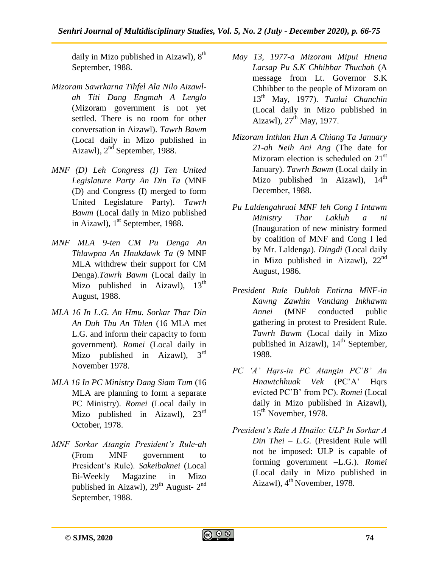daily in Mizo published in Aizawl),  $8<sup>th</sup>$ September, 1988.

- *Mizoram Sawrkarna Tihfel Ala Nilo Aizawlah Titi Dang Engmah A Lenglo* (Mizoram government is not yet settled. There is no room for other conversation in Aizawl). *Tawrh Bawm* (Local daily in Mizo published in Aizawl), 2nd September, 1988.
- *MNF (D) Leh Congress (I) Ten United Legislature Party An Din Ta* (MNF (D) and Congress (I) merged to form United Legislature Party). *Tawrh Bawm* (Local daily in Mizo published in Aizawl),  $1<sup>st</sup>$  September, 1988.
- *MNF MLA 9-ten CM Pu Denga An Thlawpna An Hnukdawk Ta* (9 MNF MLA withdrew their support for CM Denga).*Tawrh Bawm* (Local daily in Mizo published in Aizawl),  $13<sup>th</sup>$ August, 1988.
- *MLA 16 In L.G. An Hmu. Sorkar Thar Din An Duh Thu An Thlen* (16 MLA met L.G. and inform their capacity to form government). *Romei* (Local daily in Mizo published in Aizawl),  $3<sup>rd</sup>$ November 1978.
- *MLA 16 In PC Ministry Dang Siam Tum* (16 MLA are planning to form a separate PC Ministry). *Romei* (Local daily in Mizo published in Aizawl), 23<sup>rd</sup> October, 1978.
- *MNF Sorkar Atangin President"s Rule-ah* (From MNF government to President's Rule). *Sakeibaknei* (Local Bi-Weekly Magazine in Mizo published in Aizawl),  $29<sup>th</sup>$  August-  $2<sup>nd</sup>$ September, 1988.
- *May 13, 1977-a Mizoram Mipui Hnena Larsap Pu S.K Chhibbar Thuchah* (A message from Lt. Governor S.K Chhibber to the people of Mizoram on 13th May, 1977). *Tunlai Chanchin* (Local daily in Mizo published in Aizawl), 27<sup>th</sup> May, 1977.
- *Mizoram Inthlan Hun A Chiang Ta January 21-ah Neih Ani Ang* (The date for Mizoram election is scheduled on  $21<sup>st</sup>$ January). *Tawrh Bawm* (Local daily in Mizo published in Aizawl),  $14<sup>th</sup>$ December, 1988.
- *Pu Laldengahruai MNF leh Cong I Intawm Ministry Thar Lakluh a ni*  (Inauguration of new ministry formed by coalition of MNF and Cong I led by Mr. Laldenga). *Dingdi* (Local daily in Mizo published in Aizawl),  $22<sup>nd</sup>$ August, 1986.
- *President Rule Duhloh Entirna MNF-in Kawng Zawhin Vantlang Inkhawm Annei* (MNF conducted public gathering in protest to President Rule. *Tawrh Bawm* (Local daily in Mizo published in Aizawl),  $14<sup>th</sup>$  September, 1988.
- *PC "A" Hqrs-in PC Atangin PC"B" An Hnawtchhuak Vek* (PC'A' Hqrs evicted PC'B' from PC). *Romei* (Local daily in Mizo published in Aizawl), 15<sup>th</sup> November, 1978.
- *President"s Rule A Hnailo: ULP In Sorkar A Din Thei – L.G.* (President Rule will not be imposed: ULP is capable of forming government –L.G.). *Romei*  (Local daily in Mizo published in Aizawl),  $4<sup>th</sup>$  November, 1978.